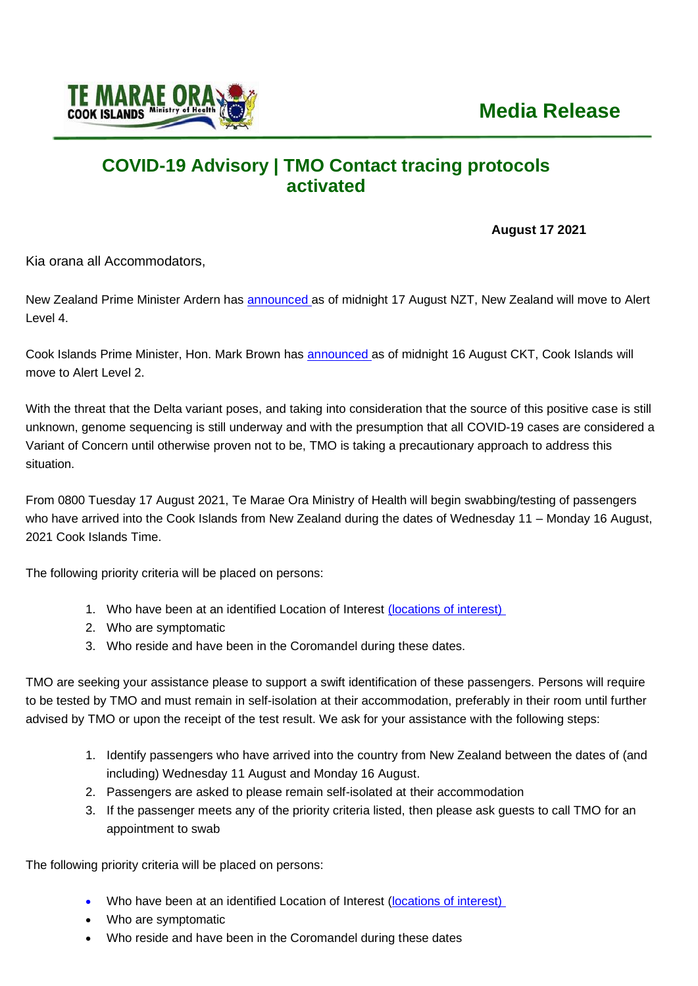

## **COVID-19 Advisory | TMO Contact tracing protocols activated**

## **August 17 2021**

Kia orana all Accommodators,

New Zealand Prime Minister Ardern has **[announced](https://covid19.govt.nz/alert-levels-and-updates/latest-updates/covid-19-media-conference-17-august-2021/)** as of midnight 17 August NZT, New Zealand will move to Alert Level 4.

Cook Islands Prime Minister, Hon. Mark Brown has [announced](https://covid19.gov.ck/sites/default/files/2021-08/PM%20Announcement%201030pm%2016.08.2021%20TH%20cleared.pdf) as of midnight 16 August CKT, Cook Islands will move to Alert Level 2.

With the threat that the Delta variant poses, and taking into consideration that the source of this positive case is still unknown, genome sequencing is still underway and with the presumption that all COVID-19 cases are considered a Variant of Concern until otherwise proven not to be, TMO is taking a precautionary approach to address this situation.

From 0800 Tuesday 17 August 2021, Te Marae Ora Ministry of Health will begin swabbing/testing of passengers who have arrived into the Cook Islands from New Zealand during the dates of Wednesday 11 – Monday 16 August, 2021 Cook Islands Time.

The following priority criteria will be placed on persons:

- 1. Who have been at an identified Location of Interest [\(locations of interest\)](https://www.health.govt.nz/our-work/diseases-and-conditions/covid-19-novel-coronavirus/covid-19-health-advice-public/contact-tracing-covid-19/covid-19-contact-tracing-locations-interest)
- 2. Who are symptomatic
- 3. Who reside and have been in the Coromandel during these dates.

TMO are seeking your assistance please to support a swift identification of these passengers. Persons will require to be tested by TMO and must remain in self-isolation at their accommodation, preferably in their room until further advised by TMO or upon the receipt of the test result. We ask for your assistance with the following steps:

- 1. Identify passengers who have arrived into the country from New Zealand between the dates of (and including) Wednesday 11 August and Monday 16 August.
- 2. Passengers are asked to please remain self-isolated at their accommodation
- 3. If the passenger meets any of the priority criteria listed, then please ask guests to call TMO for an appointment to swab

The following priority criteria will be placed on persons:

- Who have been at an identified Location of Interest [\(locations of interest\)](https://www.health.govt.nz/our-work/diseases-and-conditions/covid-19-novel-coronavirus/covid-19-health-advice-public/contact-tracing-covid-19/covid-19-contact-tracing-locations-interest)
- Who are symptomatic
- Who reside and have been in the Coromandel during these dates